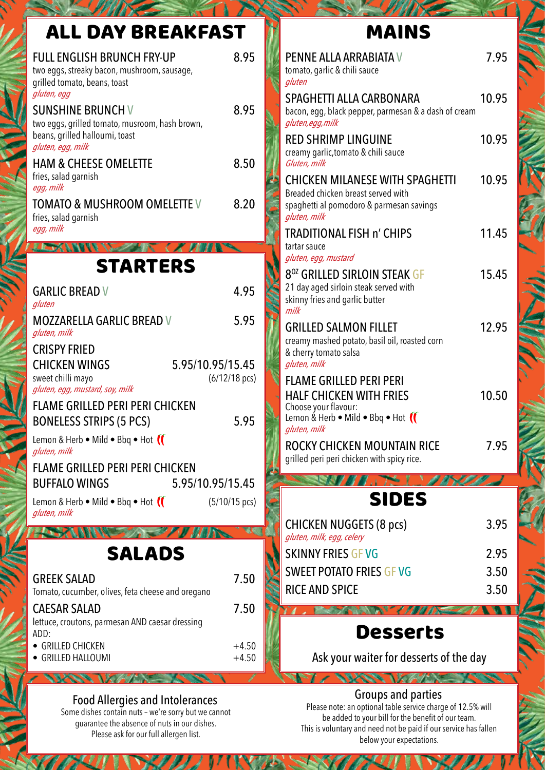| ALL DAY BREAKFAST                                                                                                                 |                    |
|-----------------------------------------------------------------------------------------------------------------------------------|--------------------|
| <b>FULL ENGLISH BRUNCH FRY-UP</b><br>two eggs, streaky bacon, mushroom, sausage,<br>grilled tomato, beans, toast<br>gluten, egg   | 8.95               |
| <b>SUNSHINE BRUNCH V</b><br>two eggs, grilled tomato, musroom, hash brown,<br>beans, grilled halloumi, toast<br>gluten, egg, milk | 8.95               |
| <b>HAM &amp; CHEESE OMELETTE</b><br>fries, salad garnish<br>egg, milk                                                             | 8.50               |
| <b>TOMATO &amp; MUSHROOM OMELETTE V</b><br>fries, salad garnish<br>egg, milk                                                      | 8.20               |
| C K M<br>STARTERS                                                                                                                 |                    |
|                                                                                                                                   |                    |
| <b>GARLIC BREAD V</b><br>gluten                                                                                                   | 4.95               |
| <b>MOZZARELLA GARLIC BREAD V</b><br>gluten, milk                                                                                  | 5.95               |
| <b>CRISPY FRIED</b><br>5.95/10.95/15.45<br><b>CHICKEN WINGS</b><br>sweet chilli mayo<br>gluten, egg, mustard, soy, milk           | $(6/12/18$ pcs)    |
| <b>FLAME GRILLED PERI PERI CHICKEN</b><br><b>BONELESS STRIPS (5 PCS)</b>                                                          | 5.95               |
| Lemon & Herb $\bullet$ Mild $\bullet$ Bbq $\bullet$ Hot $\left(\right)$<br>gluten, milk                                           |                    |
| <b>FLAME GRILLED PERI PERI CHICKEN</b>                                                                                            |                    |
| <b>BUFFALO WINGS</b><br>5.95/10.95/15.45<br>Lemon & Herb • Mild • Bbq • Hot (<br>gluten, milk                                     | $(5/10/15$ pcs)    |
| WWW                                                                                                                               |                    |
| <b>SALADS</b>                                                                                                                     |                    |
| <b>GREEK SALAD</b><br>Tomato, cucumber, olives, feta cheese and oregano                                                           | 7.50               |
| <b>CAESAR SALAD</b><br>lettuce, croutons, parmesan AND caesar dressing<br>ADD:                                                    | 7.50               |
| • GRILLED CHICKEN<br>• GRILLED HALLOUMI                                                                                           | $+4.50$<br>$+4.50$ |

# MAINS

| PENNE ALLA ARRABIATA V<br>tomato, garlic & chili sauce<br>gluten                                                                            | 7.95  |
|---------------------------------------------------------------------------------------------------------------------------------------------|-------|
| SPAGHETTI ALLA CARBONARA<br>bacon, egg, black pepper, parmesan & a dash of cream<br>gluten, egg, milk                                       | 10.95 |
| <b>RED SHRIMP LINGUINE</b><br>creamy garlic, tomato & chili sauce<br>Gluten, milk                                                           | 10.95 |
| <b>CHICKEN MILANESE WITH SPAGHETTI</b><br>Breaded chicken breast served with<br>spaghetti al pomodoro & parmesan savings<br>gluten, milk    | 10.95 |
| <b>TRADITIONAL FISH n' CHIPS</b><br>tartar sauce<br>gluten, egg, mustard                                                                    | 11.45 |
| 8 <sup>oz</sup> GRILLED SIRLOIN STEAK GF<br>21 day aged sirloin steak served with<br>skinny fries and garlic butter<br>milk                 | 15.45 |
| <b>GRILLED SALMON FILLET</b><br>creamy mashed potato, basil oil, roasted corn<br>& cherry tomato salsa<br>gluten, milk                      | 12.95 |
| <b>FLAME GRILLED PERI PERI</b><br><b>HALF CHICKEN WITH FRIES</b><br>Choose your flavour:<br>Lemon & Herb . Mild . Bbq . Hot<br>gluten, milk | 10.50 |
| ROCKY CHICKEN MOUNTAIN RICE<br>grilled peri peri chicken with spicy rice.                                                                   | 7.95  |
|                                                                                                                                             |       |
| SIDES                                                                                                                                       |       |
| <b>CHICKEN NUGGETS (8 pcs)</b><br>gluten, milk, egg, celery                                                                                 | 3.95  |
| <b>SKINNY FRIES GF VG</b>                                                                                                                   | 2.95  |

# Desserts

SWEET POTATO FRIES GF VG 3.50 RICE AND SPICE 3.50

フィマン ヘリーインタイカヌ

Ask your waiter for desserts of the day

#### Food Allergies and Intolerances

Some dishes contain nuts – we're sorry but we cannot guarantee the absence of nuts in our dishes. Please ask for our full allergen list.

#### Groups and parties

Please note: an optional table service charge of 12.5% will be added to your bill for the benefit of our team. This is voluntary and need not be paid if our service has fallen below your expectations.